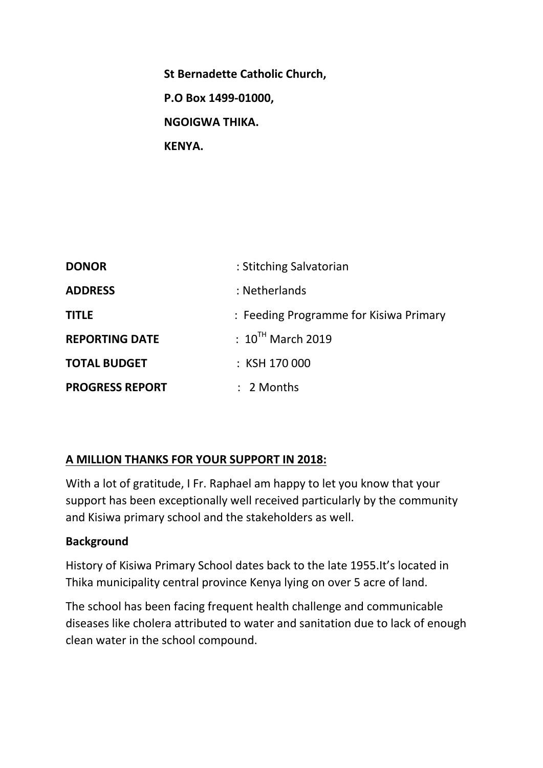**St Bernadette Catholic Church, P.O Box 1499-01000, NGOIGWA THIKA. KENYA.**

| <b>DONOR</b>           | : Stitching Salvatorian                |  |  |
|------------------------|----------------------------------------|--|--|
| <b>ADDRESS</b>         | : Netherlands                          |  |  |
| <b>TITLE</b>           | : Feeding Programme for Kisiwa Primary |  |  |
| <b>REPORTING DATE</b>  | $\pm 10^{TH}$ March 2019               |  |  |
| <b>TOTAL BUDGET</b>    | : KSH 170 000                          |  |  |
| <b>PROGRESS REPORT</b> | $: 2$ Months                           |  |  |

## **A MILLION THANKS FOR YOUR SUPPORT IN 2018:**

With a lot of gratitude, I Fr. Raphael am happy to let you know that your support has been exceptionally well received particularly by the community and Kisiwa primary school and the stakeholders as well.

#### **Background**

History of Kisiwa Primary School dates back to the late 1955.It's located in Thika municipality central province Kenya lying on over 5 acre of land.

The school has been facing frequent health challenge and communicable diseases like cholera attributed to water and sanitation due to lack of enough clean water in the school compound.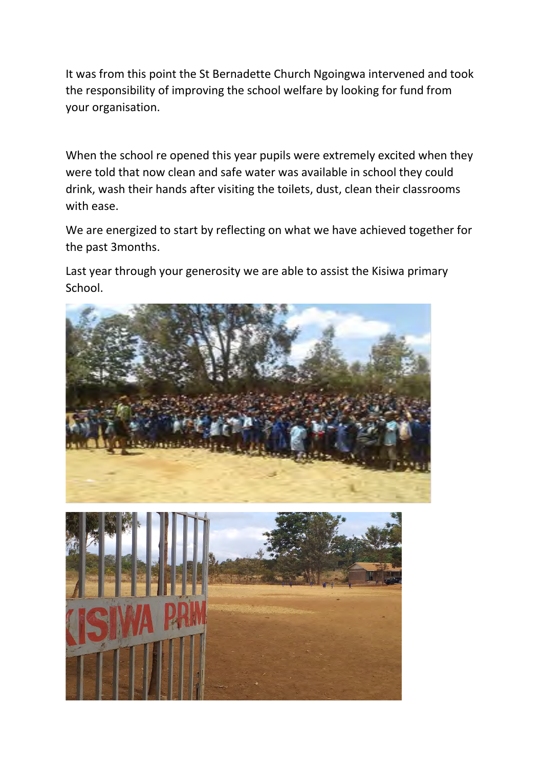It was from this point the St Bernadette Church Ngoingwa intervened and took the responsibility of improving the school welfare by looking for fund from your organisation.

When the school re opened this year pupils were extremely excited when they were told that now clean and safe water was available in school they could drink, wash their hands after visiting the toilets, dust, clean their classrooms with ease.

We are energized to start by reflecting on what we have achieved together for the past 3months.

Last year through your generosity we are able to assist the Kisiwa primary School.

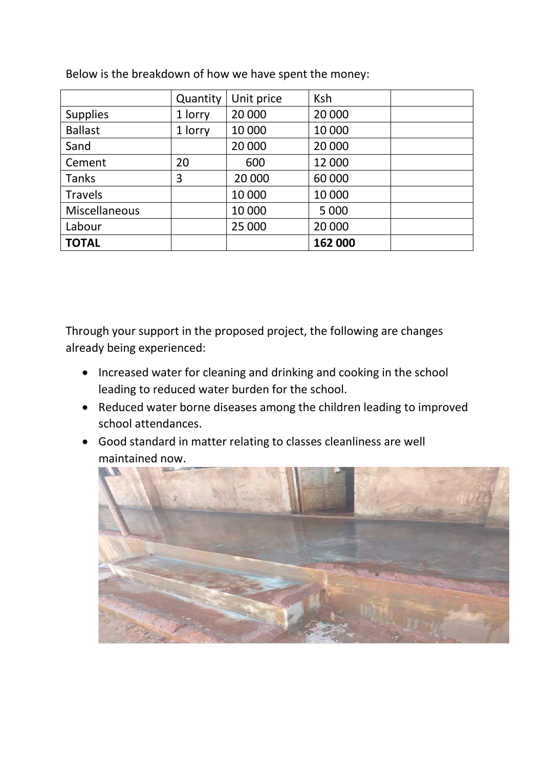|                 | Quantity | Unit price | <b>Ksh</b> |  |
|-----------------|----------|------------|------------|--|
| <b>Supplies</b> | 1 lorry  | 20 000     | 20 000     |  |
| <b>Ballast</b>  | 1 lorry  | 10 000     | 10 000     |  |
| Sand            |          | 20 000     | 20 000     |  |
| Cement          | 20       | 600        | 12 000     |  |
| <b>Tanks</b>    | 3        | 20 000     | 60 000     |  |
| <b>Travels</b>  |          | 10 000     | 10 000     |  |
| Miscellaneous   |          | 10 000     | 5 0 0 0    |  |
| Labour          |          | 25 000     | 20 000     |  |
| <b>TOTAL</b>    |          |            | 162 000    |  |

Below is the breakdown of how we have spent the money:

Through your support in the proposed project, the following are changes already being experienced:

- Increased water for cleaning and drinking and cooking in the school leading to reduced water burden for the school.
- Reduced water borne diseases among the children leading to improved school attendances.
- Good standard in matter relating to classes cleanliness are well maintained now.

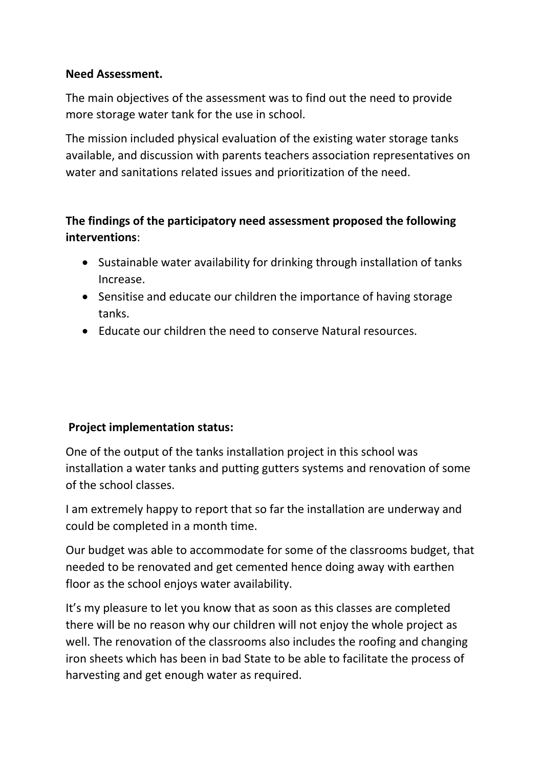### **Need Assessment.**

The main objectives of the assessment was to find out the need to provide more storage water tank for the use in school.

The mission included physical evaluation of the existing water storage tanks available, and discussion with parents teachers association representatives on water and sanitations related issues and prioritization of the need.

# **The findings of the participatory need assessment proposed the following interventions**:

- Sustainable water availability for drinking through installation of tanks Increase.
- Sensitise and educate our children the importance of having storage tanks.
- Educate our children the need to conserve Natural resources.

## **Project implementation status:**

One of the output of the tanks installation project in this school was installation a water tanks and putting gutters systems and renovation of some of the school classes.

I am extremely happy to report that so far the installation are underway and could be completed in a month time.

Our budget was able to accommodate for some of the classrooms budget, that needed to be renovated and get cemented hence doing away with earthen floor as the school enjoys water availability.

It's my pleasure to let you know that as soon as this classes are completed there will be no reason why our children will not enjoy the whole project as well. The renovation of the classrooms also includes the roofing and changing iron sheets which has been in bad State to be able to facilitate the process of harvesting and get enough water as required.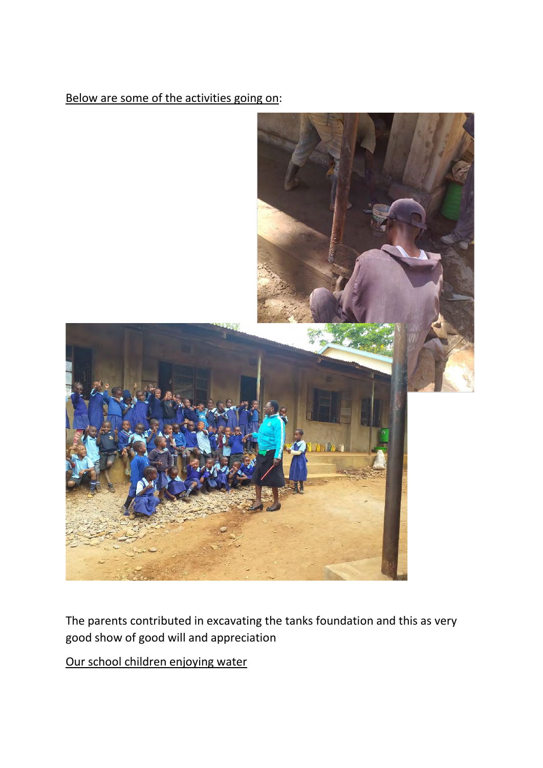## Below are some of the activities going on:



The parents contributed in excavating the tanks foundation and this as very good show of good will and appreciation

Our school children enjoying water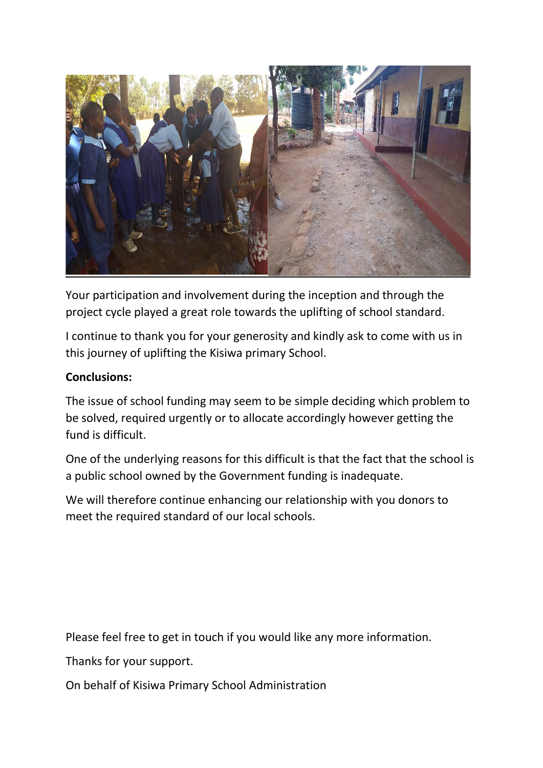

Your participation and involvement during the inception and through the project cycle played a great role towards the uplifting of school standard.

I continue to thank you for your generosity and kindly ask to come with us in this journey of uplifting the Kisiwa primary School.

### **Conclusions:**

The issue of school funding may seem to be simple deciding which problem to be solved, required urgently or to allocate accordingly however getting the fund is difficult.

One of the underlying reasons for this difficult is that the fact that the school is a public school owned by the Government funding is inadequate.

We will therefore continue enhancing our relationship with you donors to meet the required standard of our local schools.

Please feel free to get in touch if you would like any more information.

Thanks for your support.

On behalf of Kisiwa Primary School Administration